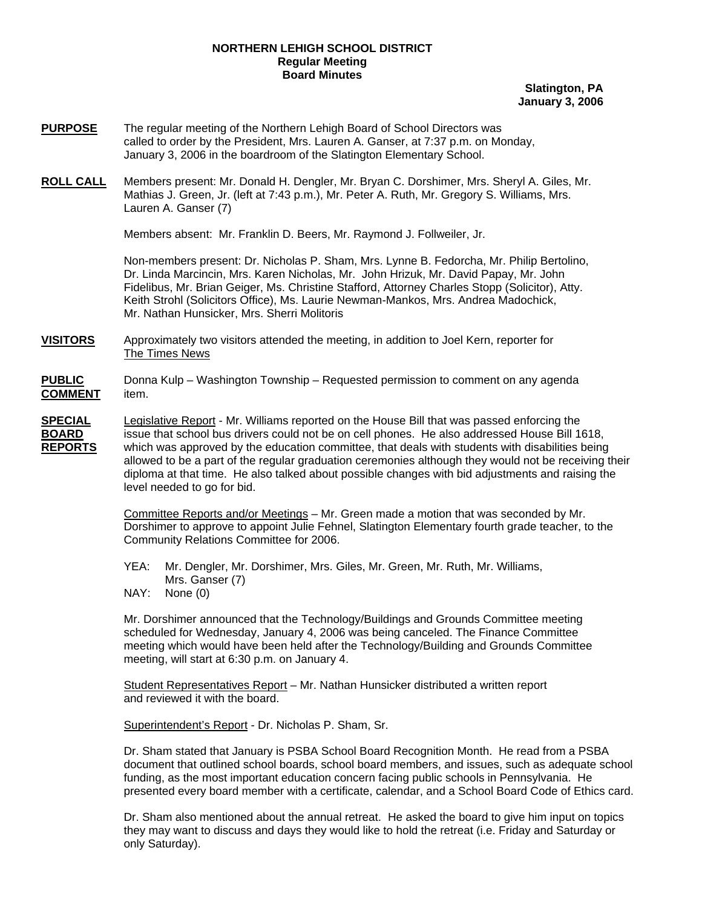## **NORTHERN LEHIGH SCHOOL DISTRICT Regular Meeting Board Minutes**

**Slatington, PA January 3, 2006**

- **PURPOSE** The regular meeting of the Northern Lehigh Board of School Directors was called to order by the President, Mrs. Lauren A. Ganser, at 7:37 p.m. on Monday, January 3, 2006 in the boardroom of the Slatington Elementary School.
- **ROLL CALL** Members present: Mr. Donald H. Dengler, Mr. Bryan C. Dorshimer, Mrs. Sheryl A. Giles, Mr. Mathias J. Green, Jr. (left at 7:43 p.m.), Mr. Peter A. Ruth, Mr. Gregory S. Williams, Mrs. Lauren A. Ganser (7)

Members absent: Mr. Franklin D. Beers, Mr. Raymond J. Follweiler, Jr.

Non-members present: Dr. Nicholas P. Sham, Mrs. Lynne B. Fedorcha, Mr. Philip Bertolino, Dr. Linda Marcincin, Mrs. Karen Nicholas, Mr. John Hrizuk, Mr. David Papay, Mr. John Fidelibus, Mr. Brian Geiger, Ms. Christine Stafford, Attorney Charles Stopp (Solicitor), Atty. Keith Strohl (Solicitors Office), Ms. Laurie Newman-Mankos, Mrs. Andrea Madochick, Mr. Nathan Hunsicker, Mrs. Sherri Molitoris

**VISITORS** Approximately two visitors attended the meeting, in addition to Joel Kern, reporter for The Times News

**PUBLIC** Donna Kulp – Washington Township – Requested permission to comment on any agenda **COMMENT** item.

**SPECIAL** Legislative Report - Mr. Williams reported on the House Bill that was passed enforcing the **BOARD** issue that school bus drivers could not be on cell phones. He also addressed House Bill 1618, **REPORTS** which was approved by the education committee, that deals with students with disabilities being allowed to be a part of the regular graduation ceremonies although they would not be receiving their diploma at that time. He also talked about possible changes with bid adjustments and raising the level needed to go for bid.

> Committee Reports and/or Meetings – Mr. Green made a motion that was seconded by Mr. Dorshimer to approve to appoint Julie Fehnel, Slatington Elementary fourth grade teacher, to the Community Relations Committee for 2006.

YEA: Mr. Dengler, Mr. Dorshimer, Mrs. Giles, Mr. Green, Mr. Ruth, Mr. Williams, Mrs. Ganser (7)<br>NAY: None (0)

None (0)

Mr. Dorshimer announced that the Technology/Buildings and Grounds Committee meeting scheduled for Wednesday, January 4, 2006 was being canceled. The Finance Committee meeting which would have been held after the Technology/Building and Grounds Committee meeting, will start at 6:30 p.m. on January 4.

Student Representatives Report – Mr. Nathan Hunsicker distributed a written report and reviewed it with the board.

Superintendent's Report - Dr. Nicholas P. Sham, Sr.

Dr. Sham stated that January is PSBA School Board Recognition Month. He read from a PSBA document that outlined school boards, school board members, and issues, such as adequate school funding, as the most important education concern facing public schools in Pennsylvania. He presented every board member with a certificate, calendar, and a School Board Code of Ethics card.

Dr. Sham also mentioned about the annual retreat. He asked the board to give him input on topics they may want to discuss and days they would like to hold the retreat (i.e. Friday and Saturday or only Saturday).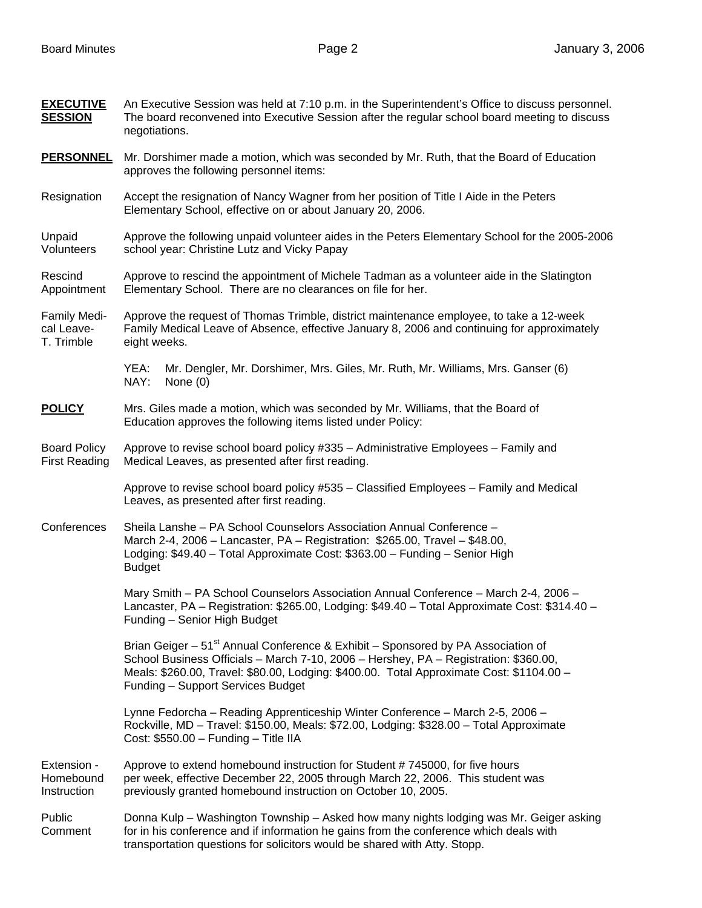| <b>EXECUTIVE</b><br><b>SESSION</b>          | An Executive Session was held at 7:10 p.m. in the Superintendent's Office to discuss personnel.<br>The board reconvened into Executive Session after the regular school board meeting to discuss<br>negotiations.                                                                                                     |
|---------------------------------------------|-----------------------------------------------------------------------------------------------------------------------------------------------------------------------------------------------------------------------------------------------------------------------------------------------------------------------|
| <b>PERSONNEL</b>                            | Mr. Dorshimer made a motion, which was seconded by Mr. Ruth, that the Board of Education<br>approves the following personnel items:                                                                                                                                                                                   |
| Resignation                                 | Accept the resignation of Nancy Wagner from her position of Title I Aide in the Peters<br>Elementary School, effective on or about January 20, 2006.                                                                                                                                                                  |
| Unpaid<br>Volunteers                        | Approve the following unpaid volunteer aides in the Peters Elementary School for the 2005-2006<br>school year: Christine Lutz and Vicky Papay                                                                                                                                                                         |
| Rescind<br>Appointment                      | Approve to rescind the appointment of Michele Tadman as a volunteer aide in the Slatington<br>Elementary School. There are no clearances on file for her.                                                                                                                                                             |
| Family Medi-<br>cal Leave-<br>T. Trimble    | Approve the request of Thomas Trimble, district maintenance employee, to take a 12-week<br>Family Medical Leave of Absence, effective January 8, 2006 and continuing for approximately<br>eight weeks.                                                                                                                |
|                                             | Mr. Dengler, Mr. Dorshimer, Mrs. Giles, Mr. Ruth, Mr. Williams, Mrs. Ganser (6)<br>YEA:<br>NAY:<br>None $(0)$                                                                                                                                                                                                         |
| <b>POLICY</b>                               | Mrs. Giles made a motion, which was seconded by Mr. Williams, that the Board of<br>Education approves the following items listed under Policy:                                                                                                                                                                        |
| <b>Board Policy</b><br><b>First Reading</b> | Approve to revise school board policy #335 - Administrative Employees - Family and<br>Medical Leaves, as presented after first reading.                                                                                                                                                                               |
|                                             | Approve to revise school board policy #535 - Classified Employees - Family and Medical<br>Leaves, as presented after first reading.                                                                                                                                                                                   |
| Conferences                                 | Sheila Lanshe - PA School Counselors Association Annual Conference -<br>March 2-4, 2006 - Lancaster, PA - Registration: \$265.00, Travel - \$48.00,<br>Lodging: \$49.40 - Total Approximate Cost: \$363.00 - Funding - Senior High<br><b>Budget</b>                                                                   |
|                                             | Mary Smith - PA School Counselors Association Annual Conference - March 2-4, 2006 -<br>Lancaster, PA - Registration: \$265.00, Lodging: \$49.40 - Total Approximate Cost: \$314.40 -<br>Funding - Senior High Budget                                                                                                  |
|                                             | Brian Geiger – 51 <sup>st</sup> Annual Conference & Exhibit – Sponsored by PA Association of<br>School Business Officials - March 7-10, 2006 - Hershey, PA - Registration: \$360.00,<br>Meals: \$260.00, Travel: \$80.00, Lodging: \$400.00. Total Approximate Cost: \$1104.00 -<br>Funding - Support Services Budget |
|                                             | Lynne Fedorcha - Reading Apprenticeship Winter Conference - March 2-5, 2006 -<br>Rockville, MD - Travel: \$150.00, Meals: \$72.00, Lodging: \$328.00 - Total Approximate<br>Cost: $$550.00 - Funding - Title IIA$                                                                                                     |
| Extension -<br>Homebound<br>Instruction     | Approve to extend homebound instruction for Student #745000, for five hours<br>per week, effective December 22, 2005 through March 22, 2006. This student was<br>previously granted homebound instruction on October 10, 2005.                                                                                        |
| Public<br>Comment                           | Donna Kulp - Washington Township - Asked how many nights lodging was Mr. Geiger asking<br>for in his conference and if information he gains from the conference which deals with<br>transportation questions for solicitors would be shared with Atty. Stopp.                                                         |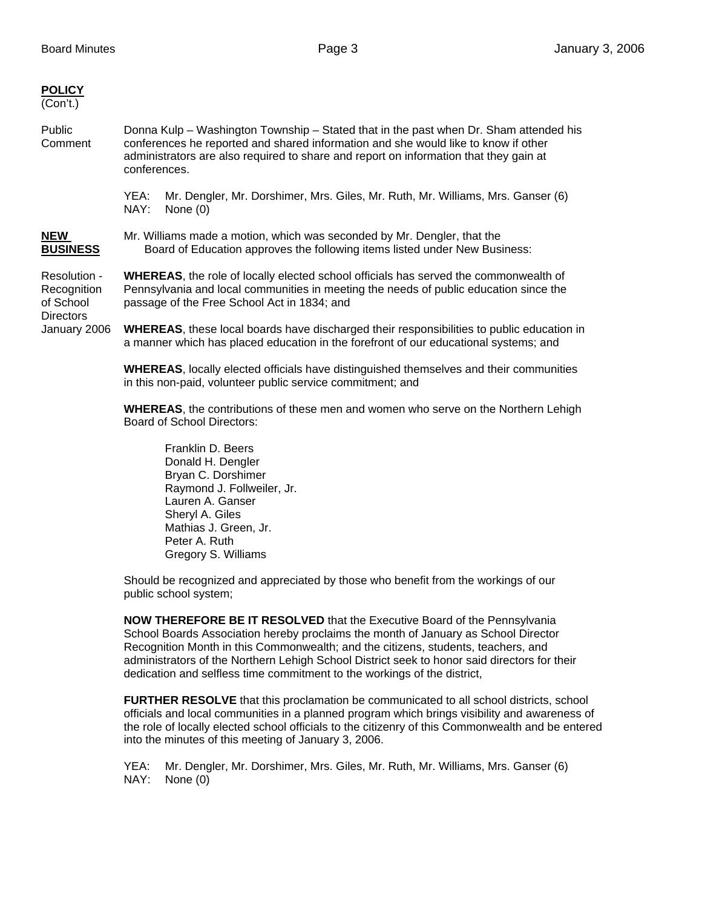| <b>POLICY</b><br>(Con't.)                                                    |                                                                                                                                                                                                                                                                                      |
|------------------------------------------------------------------------------|--------------------------------------------------------------------------------------------------------------------------------------------------------------------------------------------------------------------------------------------------------------------------------------|
| Public<br>Comment                                                            | Donna Kulp – Washington Township – Stated that in the past when Dr. Sham attended his<br>conferences he reported and shared information and she would like to know if other<br>administrators are also required to share and report on information that they gain at<br>conferences. |
|                                                                              | YEA:<br>Mr. Dengler, Mr. Dorshimer, Mrs. Giles, Mr. Ruth, Mr. Williams, Mrs. Ganser (6)<br>NAY:<br>None $(0)$                                                                                                                                                                        |
| NEW<br><b>BUSINESS</b>                                                       | Mr. Williams made a motion, which was seconded by Mr. Dengler, that the<br>Board of Education approves the following items listed under New Business:                                                                                                                                |
| Resolution -<br>Recognition<br>of School<br><b>Directors</b><br>January 2006 | <b>WHEREAS</b> , the role of locally elected school officials has served the commonwealth of<br>Pennsylvania and local communities in meeting the needs of public education since the<br>passage of the Free School Act in 1834; and                                                 |
|                                                                              | <b>WHEREAS</b> , these local boards have discharged their responsibilities to public education in<br>a manner which has placed education in the forefront of our educational systems; and                                                                                            |
|                                                                              | <b>WHEREAS, locally elected officials have distinguished themselves and their communities</b><br>in this non-paid, volunteer public service commitment; and                                                                                                                          |
|                                                                              | <b>WHEREAS</b> , the contributions of these men and women who serve on the Northern Lehigh<br>Board of School Directors:                                                                                                                                                             |
|                                                                              |                                                                                                                                                                                                                                                                                      |

 Franklin D. Beers Donald H. Dengler Bryan C. Dorshimer Raymond J. Follweiler, Jr. Lauren A. Ganser Sheryl A. Giles Mathias J. Green, Jr. Peter A. Ruth Gregory S. Williams

Should be recognized and appreciated by those who benefit from the workings of our public school system;

**NOW THEREFORE BE IT RESOLVED** that the Executive Board of the Pennsylvania School Boards Association hereby proclaims the month of January as School Director Recognition Month in this Commonwealth; and the citizens, students, teachers, and administrators of the Northern Lehigh School District seek to honor said directors for their dedication and selfless time commitment to the workings of the district,

 **FURTHER RESOLVE** that this proclamation be communicated to all school districts, school officials and local communities in a planned program which brings visibility and awareness of the role of locally elected school officials to the citizenry of this Commonwealth and be entered into the minutes of this meeting of January 3, 2006.

YEA: Mr. Dengler, Mr. Dorshimer, Mrs. Giles, Mr. Ruth, Mr. Williams, Mrs. Ganser (6) NAY: None (0)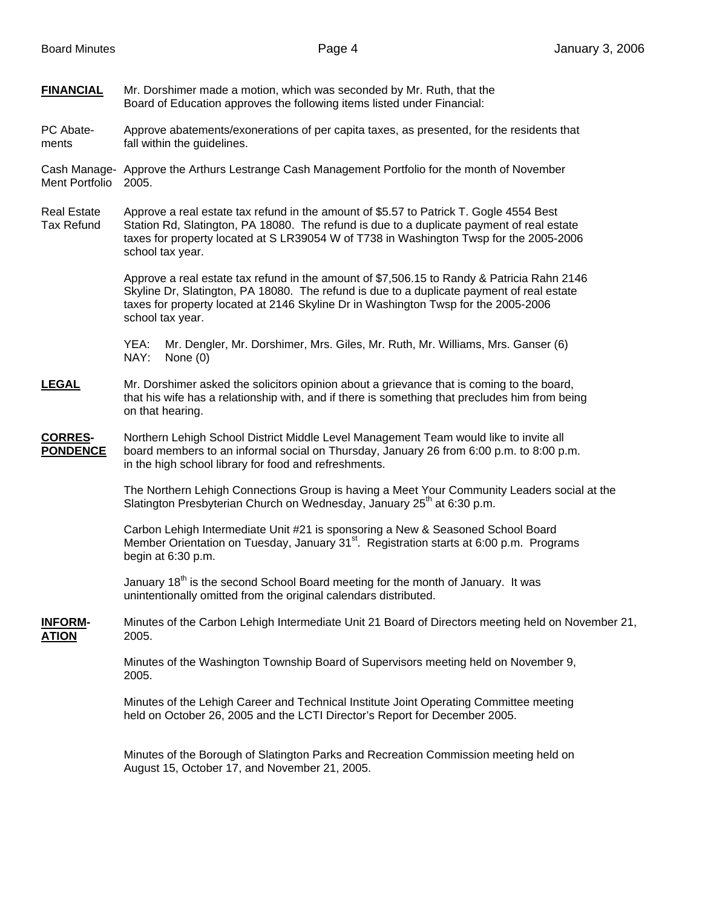**FINANCIAL** Mr. Dorshimer made a motion, which was seconded by Mr. Ruth, that the Board of Education approves the following items listed under Financial:

PC Abate- Approve abatements/exonerations of per capita taxes, as presented, for the residents that ments fall within the guidelines.

Cash Manage- Approve the Arthurs Lestrange Cash Management Portfolio for the month of November Ment Portfolio 2005.

Real Estate Approve a real estate tax refund in the amount of \$5.57 to Patrick T. Gogle 4554 Best Tax Refund Station Rd, Slatington, PA 18080. The refund is due to a duplicate payment of real estate taxes for property located at S LR39054 W of T738 in Washington Twsp for the 2005-2006 school tax year.

> Approve a real estate tax refund in the amount of \$7,506.15 to Randy & Patricia Rahn 2146 Skyline Dr, Slatington, PA 18080. The refund is due to a duplicate payment of real estate taxes for property located at 2146 Skyline Dr in Washington Twsp for the 2005-2006 school tax year.

YEA: Mr. Dengler, Mr. Dorshimer, Mrs. Giles, Mr. Ruth, Mr. Williams, Mrs. Ganser (6) NAY: None (0)

## **LEGAL** Mr. Dorshimer asked the solicitors opinion about a grievance that is coming to the board, that his wife has a relationship with, and if there is something that precludes him from being on that hearing.

**CORRES-** Northern Lehigh School District Middle Level Management Team would like to invite all **PONDENCE** board members to an informal social on Thursday, January 26 from 6:00 p.m. to 8:00 p.m. in the high school library for food and refreshments.

> The Northern Lehigh Connections Group is having a Meet Your Community Leaders social at the Slatington Presbyterian Church on Wednesday, January  $25<sup>th</sup>$  at 6:30 p.m.

Carbon Lehigh Intermediate Unit #21 is sponsoring a New & Seasoned School Board Member Orientation on Tuesday, January  $31<sup>st</sup>$ . Registration starts at 6:00 p.m. Programs begin at 6:30 p.m.

January  $18<sup>th</sup>$  is the second School Board meeting for the month of January. It was unintentionally omitted from the original calendars distributed.

**INFORM-** Minutes of the Carbon Lehigh Intermediate Unit 21 Board of Directors meeting held on November 21, **ATION** 2005.

> Minutes of the Washington Township Board of Supervisors meeting held on November 9, 2005.

> Minutes of the Lehigh Career and Technical Institute Joint Operating Committee meeting held on October 26, 2005 and the LCTI Director's Report for December 2005.

> Minutes of the Borough of Slatington Parks and Recreation Commission meeting held on August 15, October 17, and November 21, 2005.